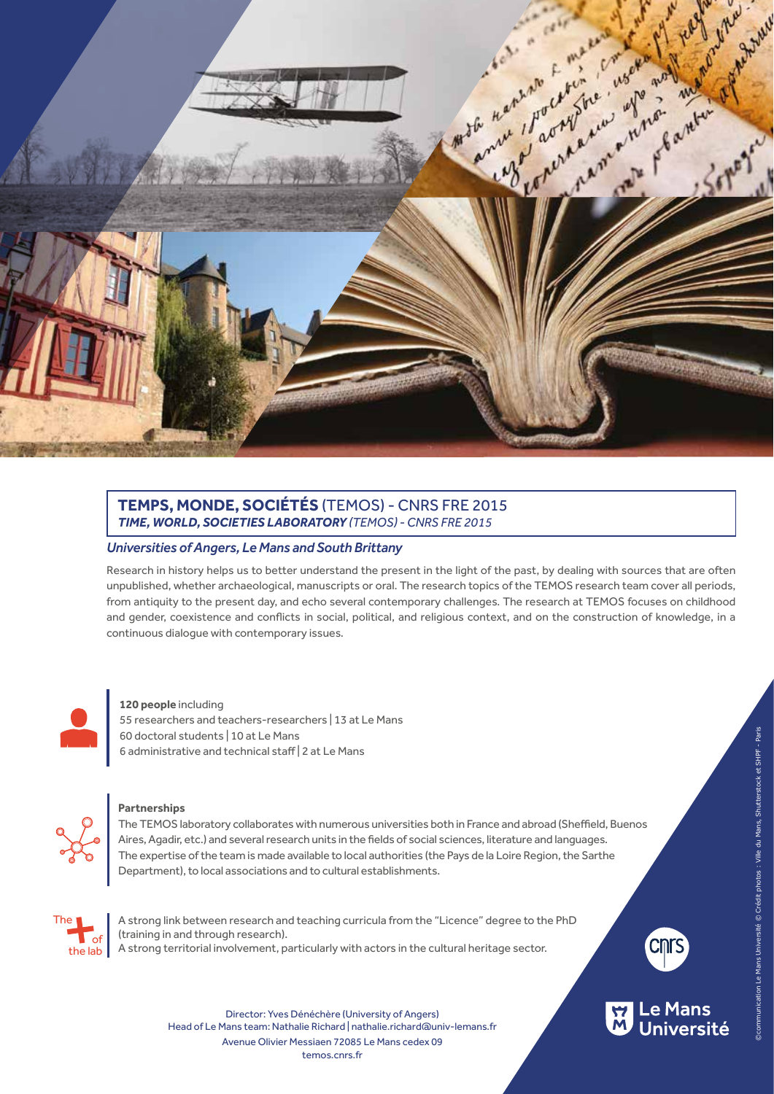

## **TEMPS, MONDE, SOCIÉTÉS** (TEMOS) - CNRS FRE 2015 *TIME, WORLD, SOCIETIES LABORATORY (TEMOS) - CNRS FRE 2015*

## *Universities of Angers, Le Mans and South Brittany*

Research in history helps us to better understand the present in the light of the past, by dealing with sources that are often unpublished, whether archaeological, manuscripts or oral. The research topics of the TEMOS research team cover all periods, from antiquity to the present day, and echo several contemporary challenges. The research at TEMOS focuses on childhood and gender, coexistence and conflicts in social, political, and religious context, and on the construction of knowledge, in a continuous dialogue with contemporary issues.



### **120 people** including

55 researchers and teachers-researchers | 13 at Le Mans 60 doctoral students | 10 at Le Mans 6 administrative and technical staff | 2 at Le Mans



### **Partnerships**

The TEMOS laboratory collaborates with numerous universities both in France and abroad (Sheffield, Buenos Aires, Agadir, etc.) and several research units in the fields of social sciences, literature and languages. The expertise of the team is made available to local authorities (the Pays de la Loire Region, the Sarthe Department), to local associations and to cultural establishments.



A strong link between research and teaching curricula from the "Licence" degree to the PhD (training in and through research). A strong territorial involvement, particularly with actors in the cultural heritage sector.





Director: Yves Dénéchère (University of Angers) Head of Le Mans team: Nathalie Richard | nathalie.richard@univ-lemans.fr temos.cnrs.fr Avenue Olivier Messiaen 72085 Le Mans cedex 09